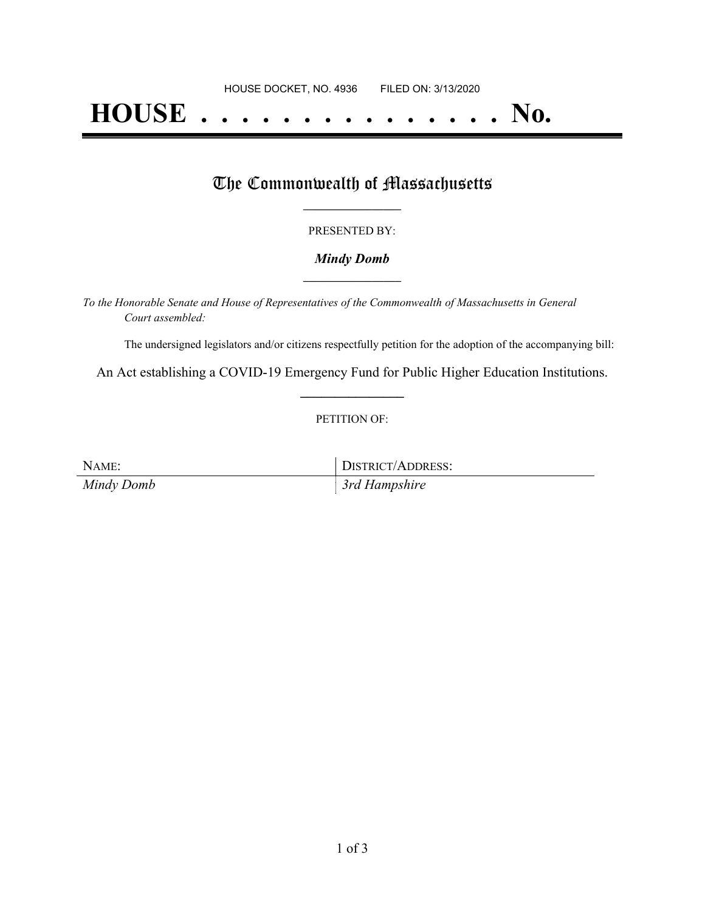# **HOUSE . . . . . . . . . . . . . . . No.**

## The Commonwealth of Massachusetts

#### PRESENTED BY:

#### *Mindy Domb* **\_\_\_\_\_\_\_\_\_\_\_\_\_\_\_\_\_**

*To the Honorable Senate and House of Representatives of the Commonwealth of Massachusetts in General Court assembled:*

The undersigned legislators and/or citizens respectfully petition for the adoption of the accompanying bill:

An Act establishing a COVID-19 Emergency Fund for Public Higher Education Institutions. **\_\_\_\_\_\_\_\_\_\_\_\_\_\_\_**

#### PETITION OF:

NAME: DISTRICT/ADDRESS: *Mindy Domb 3rd Hampshire*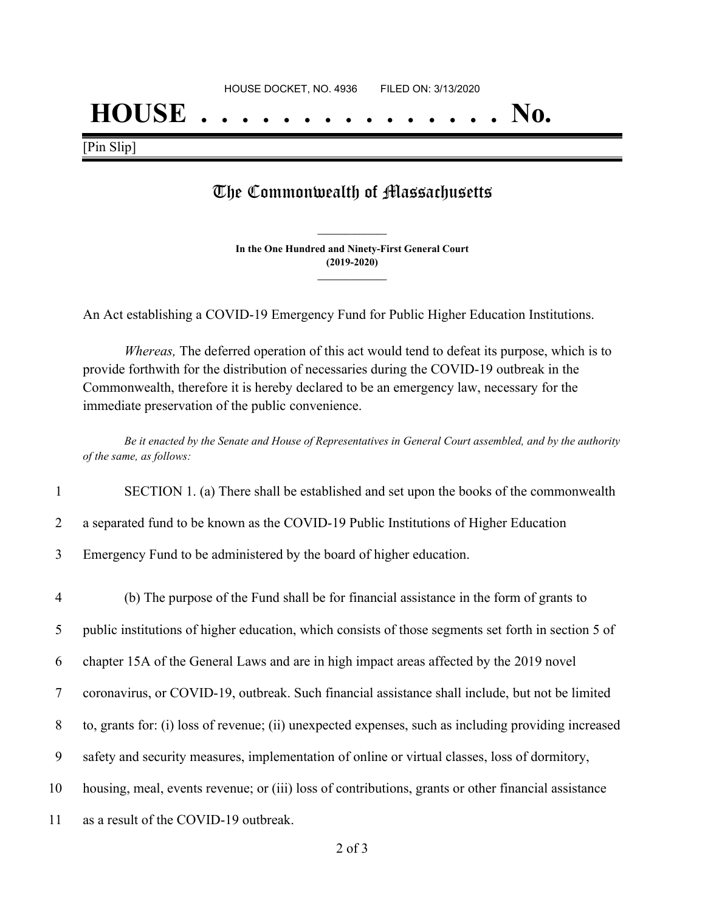## **HOUSE . . . . . . . . . . . . . . . No.**

[Pin Slip]

## The Commonwealth of Massachusetts

**In the One Hundred and Ninety-First General Court (2019-2020) \_\_\_\_\_\_\_\_\_\_\_\_\_\_\_**

**\_\_\_\_\_\_\_\_\_\_\_\_\_\_\_**

An Act establishing a COVID-19 Emergency Fund for Public Higher Education Institutions.

*Whereas,* The deferred operation of this act would tend to defeat its purpose, which is to provide forthwith for the distribution of necessaries during the COVID-19 outbreak in the Commonwealth, therefore it is hereby declared to be an emergency law, necessary for the immediate preservation of the public convenience.

Be it enacted by the Senate and House of Representatives in General Court assembled, and by the authority *of the same, as follows:*

- 1 SECTION 1. (a) There shall be established and set upon the books of the commonwealth
- 2 a separated fund to be known as the COVID-19 Public Institutions of Higher Education
- 3 Emergency Fund to be administered by the board of higher education.
- 4 (b) The purpose of the Fund shall be for financial assistance in the form of grants to 5 public institutions of higher education, which consists of those segments set forth in section 5 of 6 chapter 15A of the General Laws and are in high impact areas affected by the 2019 novel 7 coronavirus, or COVID-19, outbreak. Such financial assistance shall include, but not be limited 8 to, grants for: (i) loss of revenue; (ii) unexpected expenses, such as including providing increased 9 safety and security measures, implementation of online or virtual classes, loss of dormitory, 10 housing, meal, events revenue; or (iii) loss of contributions, grants or other financial assistance 11 as a result of the COVID-19 outbreak.